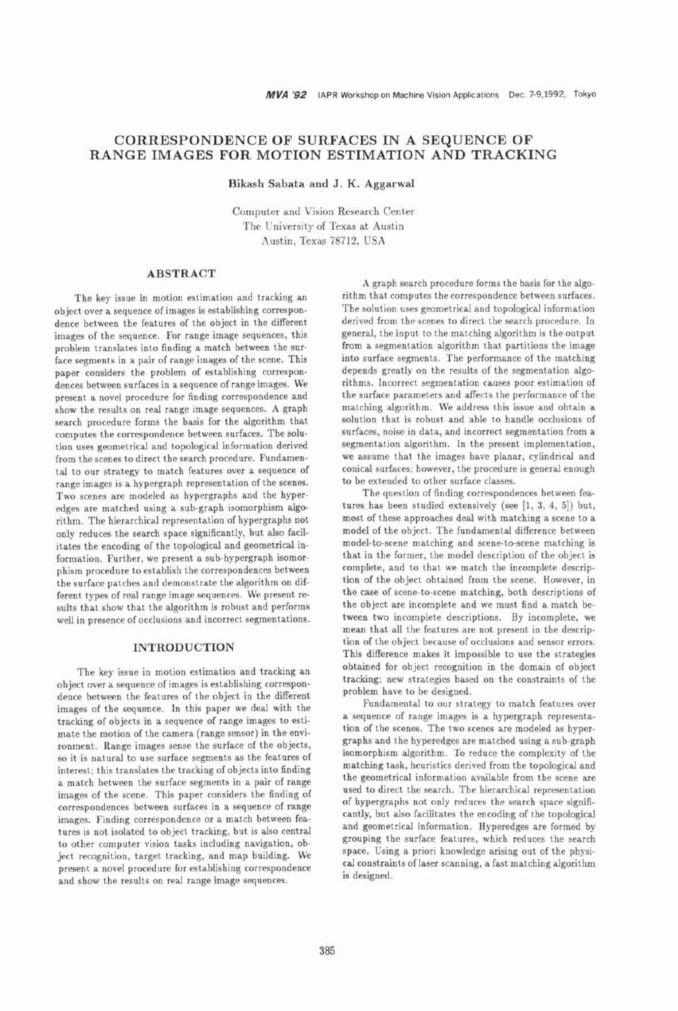# CORRESPONDENCE OF SURFACES IN A SEQUENCE OF RANGE IMAGES FOR MOTION ESTIMATION AND TRACKING

Bikash Sabata and J. K. Aggarwal

Computer and Vision Research Center The University of Texas at Austin Austin, Texas 78712, USA

## **ABSTRACT**

The key issue in motion estimation and tracking an object over a sequence of images is establishing correspondence between the features of the object in the different images of the sequence. For range image sequences, this problem translates into finding a match between the surface segments in a pair of range images of the scene. This paper considers the problem of establishing correspondences between surfaces in a sequence of range images. We present a novel procedure for finding correspondence and show the results on real range image sequences. A graph search procedure forms the basis for the algorithm that computes the correspondence between surfaces. The solution uses geometrical and topological information derived from the scenes to direct the search procedure. Fundamental to our strategy to match features over a sequence of range images is a hypergraph representation of the scenes. Two scenes are modeled as hypergraphs and the hyperedges are matched using a sub-graph isomorphism algorithm. The hierarchical representation of hypergraphs not only reduces the search space significantly, but also facilitates the encoding of the topological and geometrical information. Further, we present a sub-hypergraph isomorphism procedure to establish the correspondences between the surface patches and demonstrate the algorithm on different types of real range image sequences. We present results that show that the algorithm is robust and performs well in presence of occlusions and incorrect segmentations.

#### **INTRODUCTION**

The key issue in motion estimation and tracking an object over a sequence of images is establishing correspondence between the features of the object in the different images of the sequence. In this paper we deal with the tracking of objects in a sequence of range images to estimate the motion of the camera (range sensor) in the environment. Range images sense the surface of the objects, so it is natural to use surface segments as the features of interest; this translates the tracking of objects into finding a match between the surface segments in a pair of range images of the scene. This paper considers the finding of correspondences between surfaces in a sequence of range images. Finding correspondence or a match between features is not isolated to object tracking, but is also central to other computer vision tasks including navigation, object recognition, target tracking, and map building. We present a novel procedure for establishing correspondence and show the results on real range image sequences.

A graph search procedure forms the basis for the algorithm that computes the correspondence between surfaces. The solution uses geometrical and topological information derived from the scenes to direct the search procedure. In general, the input to the matching algorithm is the output from a segmentation algorithm that partitions the image into surface segments. The performance of the matching depends greatly on the results of the segmentation algorithms. Incorrect segmentation causes poor estimation of the surface parameters and affects the performance of the matching algorithm. We address this issue and obtain a solution that is robust and able to handle occlusions of surfaces, noise in data, and incorrect segmentation from a segmentation algorithm. In the present implementation, we assume that the images have planar, cylindrical and conical surfaces; however, the procedure is general enough to be extended to other surface classes.

The question of finding correspondences between features has been studied extensively (see [1, 3, 4, 5]) but, most of these approaches deal with matching a scene to a model of the object. The fundamental difference between model-to-scene matching and scene-to-scene matching is that in the former, the model description of the object is complete, and to that we match the incomplete description of the object obtained from the scene. However, in the case of scene-to-scene matching, both descriptions of the object are incomplete and we must find a match between two incomplete descriptions. By incomplete, we mean that all the features are not present in the description of the object because of occlusions and sensor errors. This difference makes it impossible to use the strategies obtained for object recognition in the domain of object tracking; new strategies based on the constraints of the problem have to be designed.

Fundamental to our strategy to match features over a sequence of range images is a hypergraph representation of the scenes. The two scenes are modeled as hypergraphs and the hyperedges are matched using a sub-graph isomorphism algorithm. To reduce the complexity of the matching task, heuristics derived from the topological and the geometrical information available from the scene are used to direct the search. The hierarchical representation of hypergraphs not only reduces the search space significantly, but also facilitates the encoding of the topological and geometrical information. Hyperedges are formed by grouping the surface features, which reduces the search space. Using a priori knowledge arising out of the physical constraints of laser scanning, a fast matching algorithm is designed.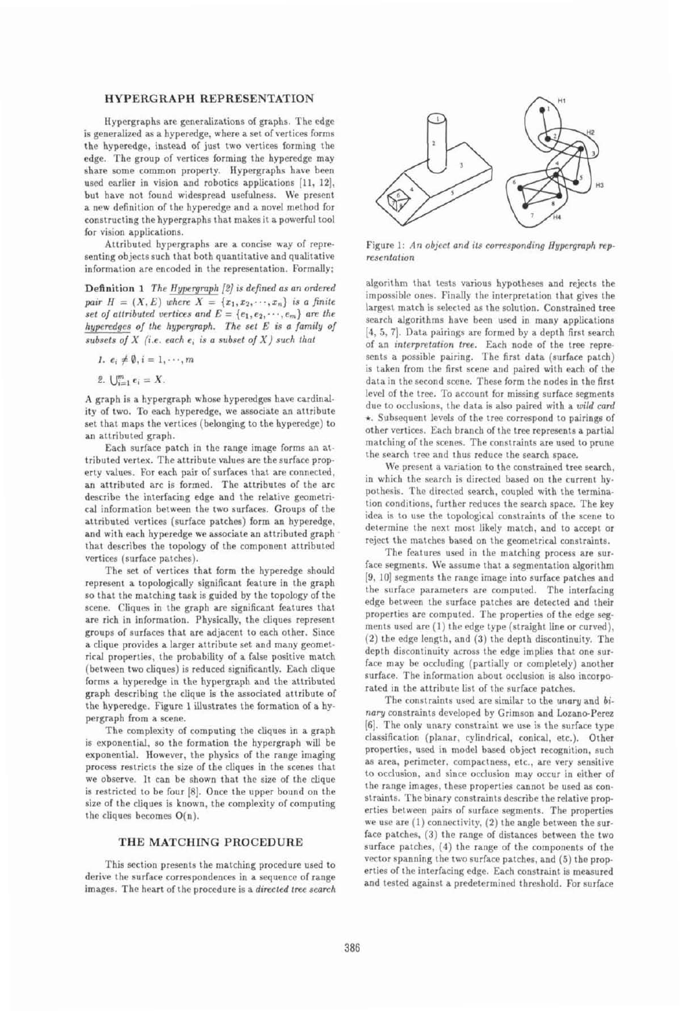# **HYPERGRAPH REPRESENTATION**

**Hypergraphs** ate generalizations **of** graphs. The edge is generalized as a hyperedge, where a set of vertices forms the hyperedge, instead of just two vertices forming the edge. The group **of** vertices **forming** the hyperedge **may**  share some common property. Hypergraphs have been used earlier in vision and robotics applications [11, 12], but have not found widespread usefulness. We present a new definition of the hyperedge and a novel method for constructing the hypergraphs that **makes** it a powerful tool for **vision** applications.

Attributed hypergraphs are a concise **way** of representing **objects** auch that both quantitative and qualitative information are encoded in the representation. Formally;

**Definition 1** The Hypergraph  $[2]$  is defined as an ordered pair  $H = (X, E)$  where  $X = \{x_1, x_2, \dots, x_n\}$  is a finite set of attributed vertices and  $E = \{e_1, e_2, \dots, e_m\}$  are the **hypredgen oj the 6yprgmph.** *The* **set** *E* **is o family o/**   $subsets of X$  (i.e. each  $e_i$  is a subset of  $X$ ) such that

1.  $e_i \neq \emptyset$ ,  $i = 1, \dots, m$ 

2.  $\bigcup_{i=1}^{m} e_i = X$ .

A graph is a hypergraph whose hyperedges have cardinality of **two.** To **each** hyperedge, **we associate** an attribute set that **maps the** *vertic~s* (belonging *to* the **hyperedge)** to an attributed graph.

Each surface patch in the range image forms an attributed vertex. The attribute values are the surface property values. For each pair of surfaces that are connected, an attributed arc is formed. The attributes of the arc describe the interfacing edge and the relative geometri**cd** information between **the** two **surfaces.** Groups of the attributed **vertices** (surface patches) form an hyperedge, and with each hyperedge we associate an attributed graph that describes the topology of the component attributed vertices (surface patches).

The set of vertices that form the hyperedge should represent a topologically significant feature in the graph so that the matching task is guided by the topology of the scene. Cliques in the graph are significant features that are rich in information. Physically, the cliques represent groups of surfaces that are adjacent to each other. Since a clique provides a larger attribute set and many geomettical properties, **Ihc** probability of a false **positive** match (between two cliques) is reduced significantly. Each **cIique**  forms a **hyperedge** in the hypergraph and the attributed graph describing the clique is the associated attribute of the hyperedge. Figure 1 illustrates the formation of a **hy**pergraph from a scene.

The complexity of computing the cliques in a graph is exponential, so the formation the hypergraph will be **exponential.** However, the physics **of the** range **imaging**  process restricts the size of the cliques in the scenes that we **observe, It** can **be** shown that the **size** of the clique **is** restricted to be **four** [R]. **Once** the upper bound on the **size** of the **cliques** is known, the complexity **of** computing **the cliques becomes O(n).** 

## **THE MATCHING PROCEDURE**

This section presents the matching procedure used to derive the **surface** correspondences in a **sequence of** range **images. Thr** heart **of** the procedttre is a **direcled free** *search* 



Figure 1: An object and its corresponding Hypergraph rep*wsenlnlion* 

algorithm that tests various hypotheses and rejects the impossible ones. Finally the interpretation that gives the larg~st **matrh is selcrt~d as thr** solution. Constrained **tree**  search algorithms have hem **used** In **many** applications **14, 5. 71.** Data pairings are formed **by** a depth **first** search of an *interpwtalion* **twe.** Earh *node* **ol the tree** represents a possible pairing. The first data (surface patch) is taken from the first scene and paired with each of the data in the second scene. These form the nodes in the first lewl of the tree. To **account** for missing surface **segments**  due to occlusions, the data is also paired with a *wild card* **r. Subsequent** levels of the tree correspond to **pairings ai**  other vertices. **Karh** branch of the tree represents a partid matching of the scenes. The constraints are used to prune the search tree and thus reduce the search space.

We present a variation to the constrained tree search, in which the search is directed based on the current hypothesis. The directed search, coupled with the termination conditions, further reduces the search space. The key idea is to use the topological constraints of the scene to determine the **nrxt most** likely match, and to accept or reject the matches based on the geometrical constraints.

The features used in the matching process are surfare segments. We assume that a segmentation algorithm **[9, IO] segments** the range **image** into surface patch~s and the surface parameters are computed. The interfacing **edge betwen the** surface **patclips** arc detected and their properties are computed. The properties of the edge segments used are (1) the edge type (straight line or curved), (2) the **edge** length, and **(3)** the d~pth discontinuity. The depth discontinuity across the edge implies that **one** surfate may he occluding (partially or completely) another surface. The information about occlusion is also incorporated in the attribute list of the surface patches.

The constraints used are similar to the *unary* and *bi*nary constraints developed by Grimson and Lozano-Perez **(61.** The **only** unary constraint **we use** is the **surface** type classification (planar, cylindrical, conical, **etc.).** Other properties, used in model based object recognition, such **as** area, perimeter. compactness, etc., are very sensitive to occlusion, and since occlusion may occur in either of the range images, these properties cannot be used as constraints. The binary constraints describe the relative properties between pairs of surface segments. The properties we use are (1) connectivity, (2) the angle between the sur**face** patches, **(3)** the **range** oi distances between **(tie two surface** patches, **(4)** the range **of** the components **of** the vector spanning the two surface patches, and (5) the properties **of** the interracing **~dge.** Earh constraint is **measured**  and tested against a predetermined threshold. For surface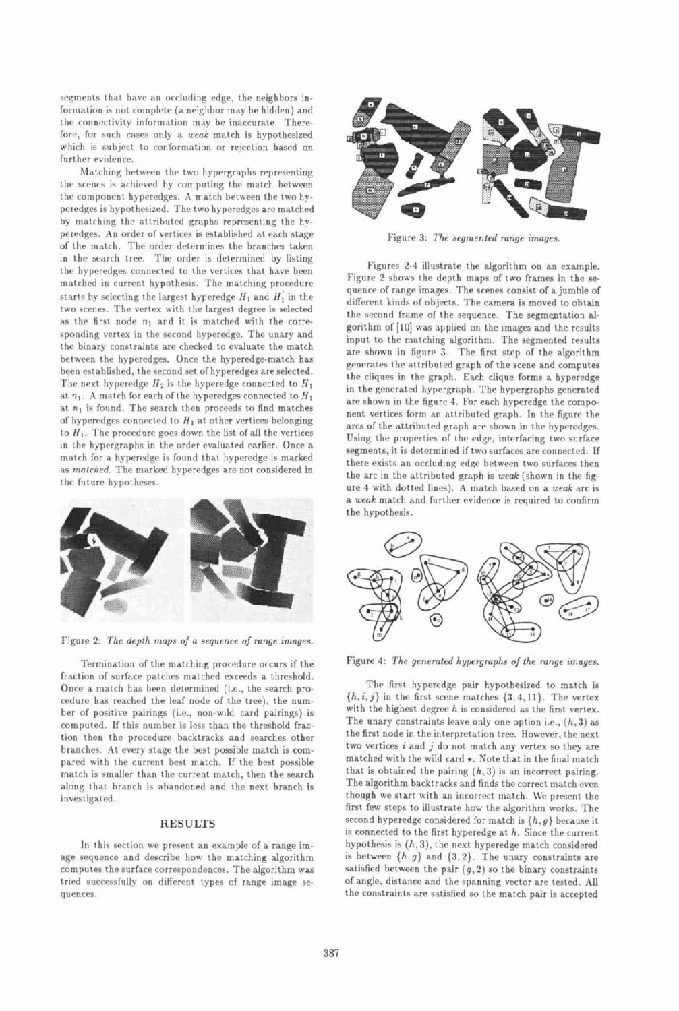segments that have an occluding edge, the neighbors information is not complete (a neighbor may be hidden) and the connectivity information may be inaccurate. Therefore, for such cases only a weak match is hypothesized which is subject to conformation or rejection based on further evidence.

Matching between the two hypergraphs representing the scenes is achieved by computing the match between the component hyperedges. A match between the two hyperedges is hypothesized. The two hyperedges are matched by matching the attributed graphs representing the hyperedges. An order of vertices is established at each stage of the match. The order determines the branches taken in the search tree. The order is determined by listing the hyperedges connected to the vertices that have been matched in current hypothesis. The matching procedure starts by selecting the largest hyperedge  $H_1$  and  $H'_1$  in the two scenes. The vertex with the largest degree is selected as the first node  $n_1$  and it is matched with the corresponding vertex in the second hyperedge. The unary and the binary constraints are checked to evaluate the match between the hyperedges. Once the hyperedge-match has been established, the second set of hyperedges are selected. The next hyperedge  $H_2$  is the hyperedge connected to  $H_1$ at  $n_1$ . A match for each of the hyperedges connected to  $H_1$ at  $n_1$  is found. The search then proceeds to find matches of hyperedges connected to  $H_1$  at other vertices belonging to  $H_1$ . The procedure goes down the list of all the vertices in the hypergraphs in the order evaluated earlier. Once a match for a hyperedge is found that hyperedge is marked as matched. The marked hyperedges are not considered in the future hypotheses.



Figure 2: The depth maps of a sequence of range images.

Termination of the matching procedure occurs if the fraction of surface patches matched exceeds a threshold. Once a match has been determined (i.e., the search procedure has reached the leaf node of the tree), the number of positive pairings (i.e., non-wild card pairings) is computed. If this number is less than the threshold fraction then the procedure backtracks and searches other branches. At every stage the best possible match is compared with the current best match. If the best possible match is smaller than the current match, then the search along that branch is abandoned and the next branch is investigated.

## **RESULTS**

In this section we present an example of a range image sequence and describe how the matching algorithm computes the surface correspondences. The algorithm was tried successfully on different types of range image sequences.



Figure 3: The segmented range images.

Figures 2-4 illustrate the algorithm on an example. Figure 2 shows the depth maps of two frames in the sequence of range images. The scenes consist of a jumble of different kinds of objects. The camera is moved to obtain the second frame of the sequence. The segmentation algorithm of [10] was applied on the images and the results input to the matching algorithm. The segmented results are shown in figure 3. The first step of the algorithm generates the attributed graph of the scene and computes the cliques in the graph. Each clique forms a hyperedge in the generated hypergraph. The hypergraphs generated are shown in the figure 4. For each hyperedge the component vertices form an attributed graph. In the figure the arcs of the attributed graph are shown in the hyperedges. Using the properties of the edge, interfacing two surface segments, it is determined if two surfaces are connected. If there exists an occluding edge between two surfaces then the arc in the attributed graph is weak (shown in the figure 4 with dotted lines). A match based on a weak arc is a weak match and further evidence is required to confirm the hypothesis.



Figure 4: The generated hypergraphs of the range images.

The first hyperedge pair hypothesized to match is  $\{h, i, j\}$  in the first scene matches  $\{3, 4, 11\}$ . The vertex with the highest degree  $h$  is considered as the first vertex. The unary constraints leave only one option i.e.,  $(h, 3)$  as the first node in the interpretation tree. However, the next two vertices  $i$  and  $j$  do not match any vertex so they are matched with the wild card  $\star$ . Note that in the final match that is obtained the pairing  $(h, 3)$  is an incorrect pairing. The algorithm backtracks and finds the correct match even though we start with an incorrect match. We present the first few steps to illustrate how the algorithm works. The second hyperedge considered for match is  $\{h, g\}$  because it is connected to the first hyperedge at  $h$ . Since the current hypothesis is  $(h, 3)$ , the next hyperedge match considered is between  $\{h, g\}$  and  $\{3, 2\}$ . The unary constraints are satisfied between the pair  $(g, 2)$  so the binary constraints of angle, distance and the spanning vector are tested. All the constraints are satisfied so the match pair is accepted